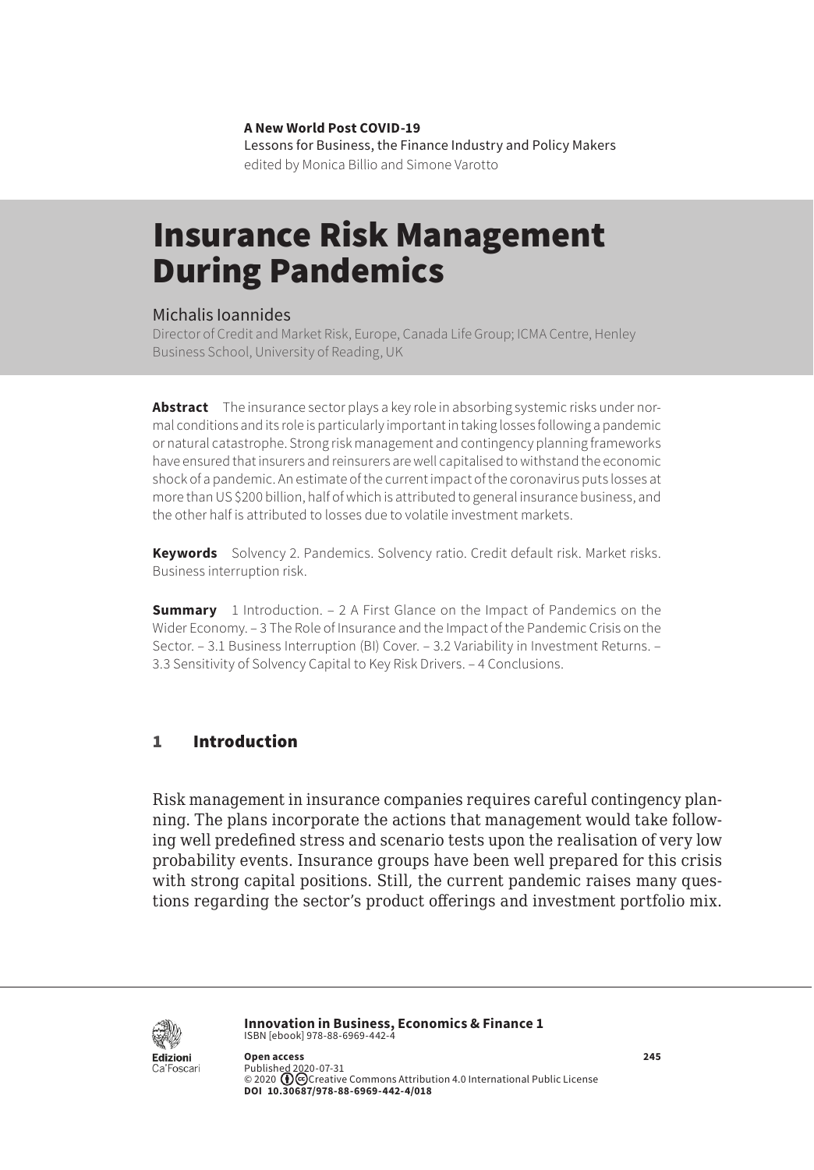**A New World Post COVID-19** Lessons for Business, the Finance Industry and Policy Makers edited by Monica Billio and Simone Varotto

# Insurance Risk Management During Pandemics

#### Michalis Ioannides

Director of Credit and Market Risk, Europe, Canada Life Group; ICMA Centre, Henley Business School, University of Reading, UK

**Abstract** The insurance sector plays a key role in absorbing systemic risks under normal conditions and its role is particularly important in taking losses following a pandemic or natural catastrophe. Strong risk management and contingency planning frameworks have ensured that insurers and reinsurers are well capitalised to withstand the economic shock of a pandemic. An estimate of the current impact of the coronavirus puts losses at more than US \$200 billion, half of which is attributed to general insurance business, and the other half is attributed to losses due to volatile investment markets.

**Keywords** Solvency 2. Pandemics. Solvency ratio. Credit default risk. Market risks. Business interruption risk.

**Summary** [1 Introduction](#page-1-0). – 2 A First Glance on the Impact of Pandemics on the [Wider Economy](#page-1-0). – [3 The Role of Insurance and the Impact of the Pandemic Crisis on the](#page-3-0)  [Sector.](#page-3-0) – [3.1 Business Interruption \(BI\) Cover](#page-5-0). – [3.2 Variability in Investment Returns](#page-6-0). – 3.3 [Sensitivity of Solvency Capital to Key Risk Drivers.](#page-8-0) – [4 Conclusions.](#page-10-0)

## 1 Introduction

Risk management in insurance companies requires careful contingency planning. The plans incorporate the actions that management would take following well predefined stress and scenario tests upon the realisation of very low probability events. Insurance groups have been well prepared for this crisis with strong capital positions. Still, the current pandemic raises many questions regarding the sector's product offerings and investment portfolio mix.



**Innovation in Business, Economics & Finance 1** ISBN [ebook] 978-88-6969-442-4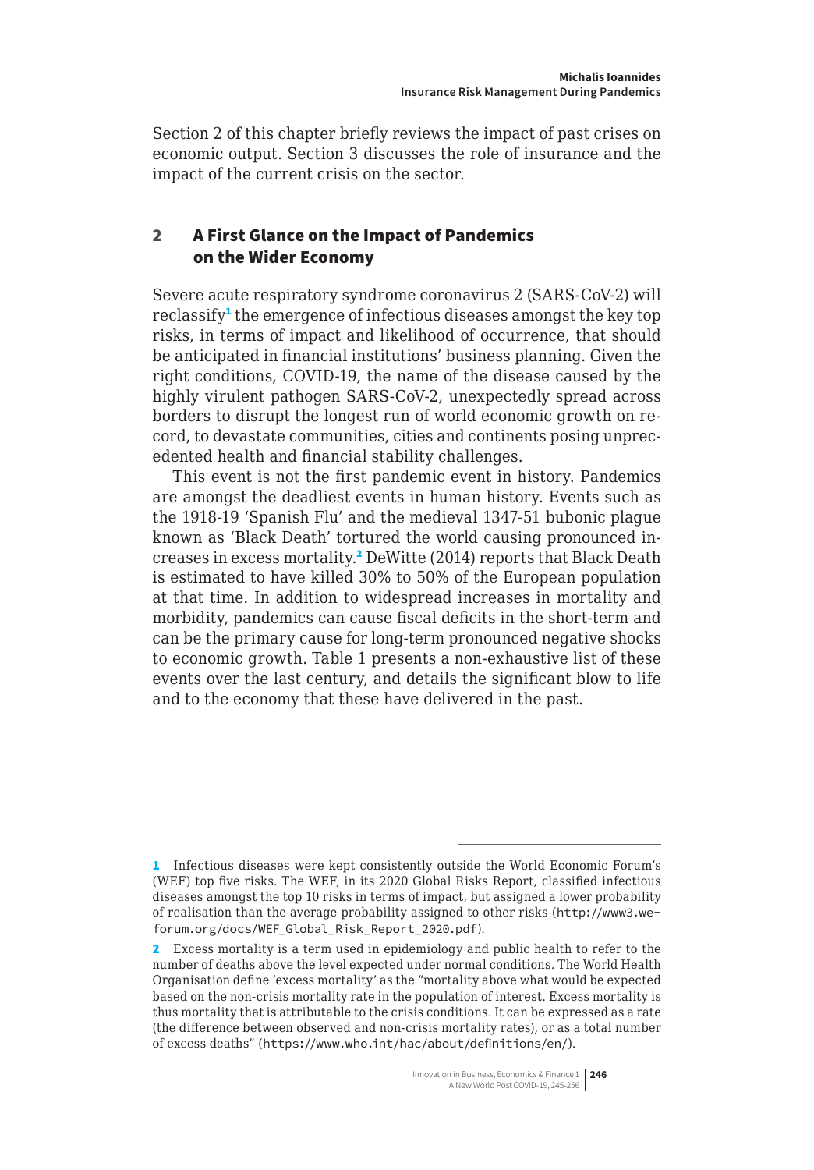<span id="page-1-0"></span>Section 2 of this chapter briefly reviews the impact of past crises on economic output. Section 3 discusses the role of insurance and the impact of the current crisis on the sector.

## 2 A First Glance on the Impact of Pandemics on the Wider Economy

Severe acute respiratory syndrome coronavirus 2 (SARS-CoV-2) will reclassify<sup>1</sup> the emergence of infectious diseases amongst the key top risks, in terms of impact and likelihood of occurrence, that should be anticipated in financial institutions' business planning. Given the right conditions, COVID-19, the name of the disease caused by the highly virulent pathogen SARS-CoV-2, unexpectedly spread across borders to disrupt the longest run of world economic growth on record, to devastate communities, cities and continents posing unprecedented health and financial stability challenges.

This event is not the first pandemic event in history. Pandemics are amongst the deadliest events in human history. Events such as the 1918-19 'Spanish Flu' and the medieval 1347-51 bubonic plague known as 'Black Death' tortured the world causing pronounced increases in excess mortality.<sup>2</sup> DeWitte (2014) reports that Black Death is estimated to have killed 30% to 50% of the European population at that time. In addition to widespread increases in mortality and morbidity, pandemics can cause fiscal deficits in the short-term and can be the primary cause for long-term pronounced negative shocks to economic growth. Table 1 presents a non-exhaustive list of these events over the last century, and details the significant blow to life and to the economy that these have delivered in the past.

<sup>1</sup> Infectious diseases were kept consistently outside the World Economic Forum's (WEF) top five risks. The WEF, in its 2020 Global Risks Report, classified infectious diseases amongst the top 10 risks in terms of impact, but assigned a lower probability of realisation than the average probability assigned to other risks ([http://www3.we](http://www3.weforum.org/docs/WEF_Global_Risk_Report_2020.pdf)[forum.org/docs/WEF\\_Global\\_Risk\\_Report\\_2020.pdf](http://www3.weforum.org/docs/WEF_Global_Risk_Report_2020.pdf)).

<sup>2</sup> Excess mortality is a term used in epidemiology and public health to refer to the number of deaths above the level expected under normal conditions. The World Health Organisation define 'excess mortality' as the "mortality above what would be expected based on the non-crisis mortality rate in the population of interest. Excess mortality is thus mortality that is attributable to the crisis conditions. It can be expressed as a rate (the difference between observed and non-crisis mortality rates), or as a total number of excess deaths" (<https://www.who.int/hac/about/definitions/en/>).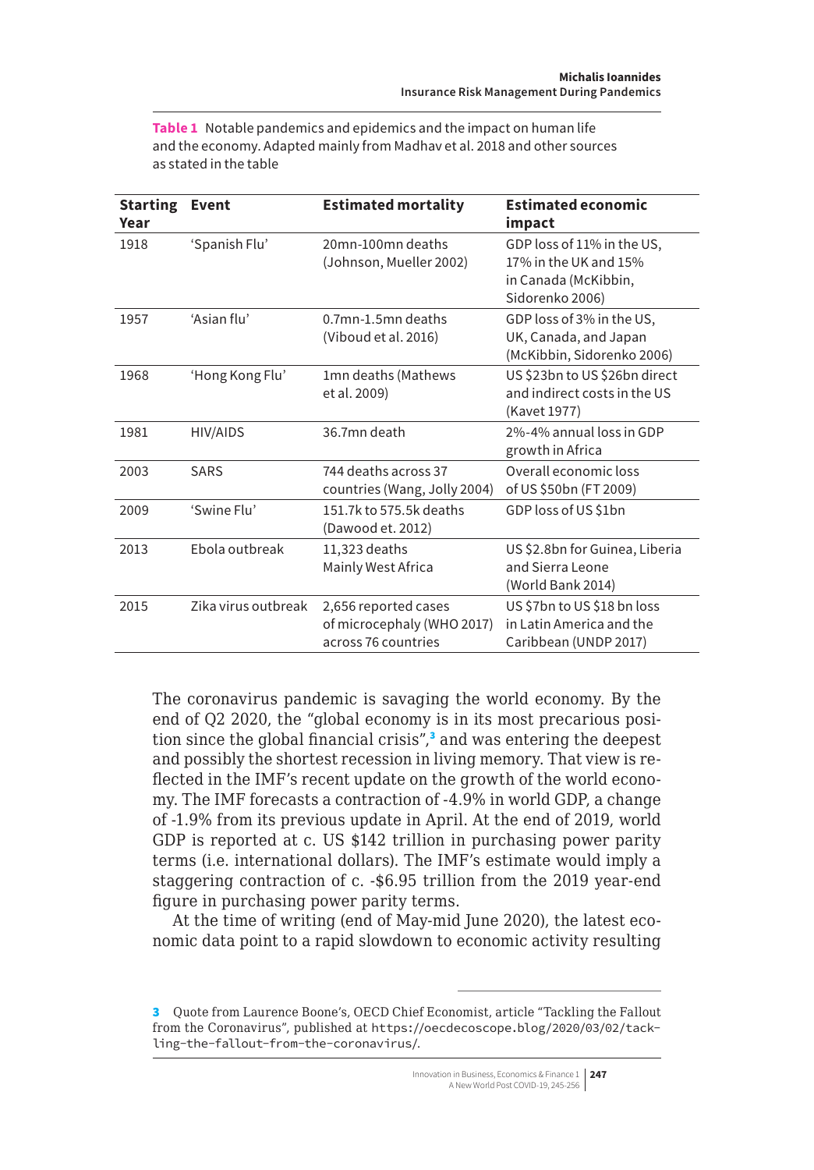**Table 1** Notable pandemics and epidemics and the impact on human life and the economy. Adapted mainly from Madhav et al. 2018 and other sources as stated in the table

| <b>Starting</b><br>Year | Event               | <b>Estimated mortality</b>                                                | <b>Estimated economic</b><br>impact                                                            |
|-------------------------|---------------------|---------------------------------------------------------------------------|------------------------------------------------------------------------------------------------|
| 1918                    | 'Spanish Flu'       | 20mn-100mn deaths<br>(Johnson, Mueller 2002)                              | GDP loss of 11% in the US,<br>17% in the UK and 15%<br>in Canada (McKibbin,<br>Sidorenko 2006) |
| 1957                    | 'Asian flu'         | 0.7mn-1.5mn deaths<br>(Viboud et al. 2016)                                | GDP loss of 3% in the US,<br>UK, Canada, and Japan<br>(McKibbin, Sidorenko 2006)               |
| 1968                    | 'Hong Kong Flu'     | 1mn deaths (Mathews<br>et al. 2009)                                       | US \$23bn to US \$26bn direct<br>and indirect costs in the US<br>(Kavet 1977)                  |
| 1981                    | HIV/AIDS            | 36.7mn death                                                              | 2%-4% annual loss in GDP<br>growth in Africa                                                   |
| 2003                    | <b>SARS</b>         | 744 deaths across 37<br>countries (Wang, Jolly 2004)                      | Overall economic loss<br>of US \$50bn (FT 2009)                                                |
| 2009                    | 'Swine Flu'         | 151.7k to 575.5k deaths<br>(Dawood et. 2012)                              | GDP loss of US \$1bn                                                                           |
| 2013                    | Ebola outbreak      | 11,323 deaths<br>Mainly West Africa                                       | US \$2.8bn for Guinea, Liberia<br>and Sierra Leone<br>(World Bank 2014)                        |
| 2015                    | Zika virus outbreak | 2,656 reported cases<br>of microcephaly (WHO 2017)<br>across 76 countries | US \$7bn to US \$18 bn loss<br>in Latin America and the<br>Caribbean (UNDP 2017)               |

The coronavirus pandemic is savaging the world economy. By the end of Q2 2020, the "global economy is in its most precarious position since the global financial crisis",<sup>3</sup> and was entering the deepest and possibly the shortest recession in living memory. That view is reflected in the IMF's recent update on the growth of the world economy. The IMF forecasts a contraction of -4.9% in world GDP, a change of -1.9% from its previous update in April. At the end of 2019, world GDP is reported at c. US \$142 trillion in purchasing power parity terms (i.e. international dollars). The IMF's estimate would imply a staggering contraction of c. -\$6.95 trillion from the 2019 year-end figure in purchasing power parity terms.

At the time of writing (end of May-mid June 2020), the latest economic data point to a rapid slowdown to economic activity resulting

<sup>3</sup> Quote from Laurence Boone's, OECD Chief Economist, article "Tackling the Fallout from the Coronavirus", published at [https://oecdecoscope.blog/2020/03/02/tack](https://oecdecoscope.blog/2020/03/02/tackling-the-fallout-from-the-coronavirus/)[ling-the-fallout-from-the-coronavirus/](https://oecdecoscope.blog/2020/03/02/tackling-the-fallout-from-the-coronavirus/).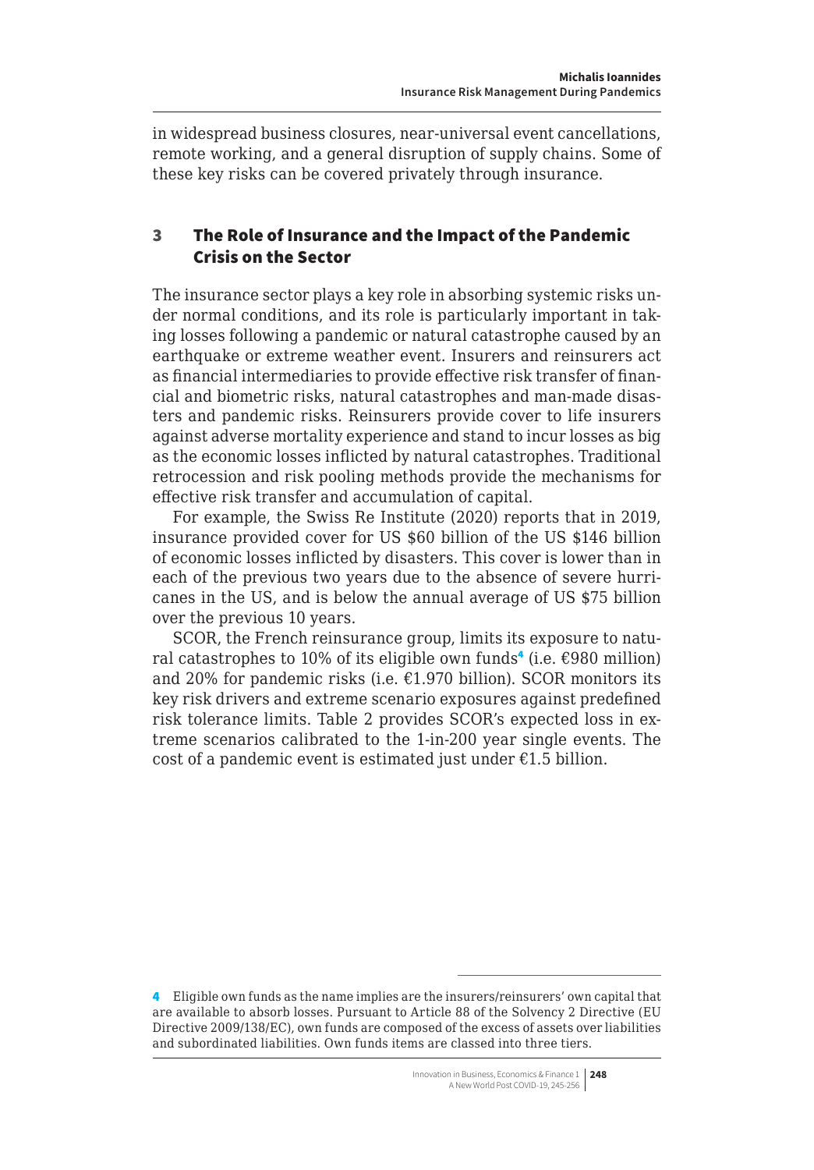<span id="page-3-0"></span>in widespread business closures, near-universal event cancellations, remote working, and a general disruption of supply chains. Some of these key risks can be covered privately through insurance.

## 3 The Role of Insurance and the Impact of the Pandemic Crisis on the Sector

The insurance sector plays a key role in absorbing systemic risks under normal conditions, and its role is particularly important in taking losses following a pandemic or natural catastrophe caused by an earthquake or extreme weather event. Insurers and reinsurers act as financial intermediaries to provide effective risk transfer of financial and biometric risks, natural catastrophes and man-made disasters and pandemic risks. Reinsurers provide cover to life insurers against adverse mortality experience and stand to incur losses as big as the economic losses inflicted by natural catastrophes. Traditional retrocession and risk pooling methods provide the mechanisms for effective risk transfer and accumulation of capital.

For example, the Swiss Re Institute (2020) reports that in 2019, insurance provided cover for US \$60 billion of the US \$146 billion of economic losses inflicted by disasters. This cover is lower than in each of the previous two years due to the absence of severe hurricanes in the US, and is below the annual average of US \$75 billion over the previous 10 years.

SCOR, the French reinsurance group, limits its exposure to natural catastrophes to 10% of its eligible own funds<sup>4</sup> (i.e. €980 million) and 20% for pandemic risks (i.e.  $£1.970$  billion). SCOR monitors its key risk drivers and extreme scenario exposures against predefined risk tolerance limits. Table 2 provides SCOR's expected loss in extreme scenarios calibrated to the 1-in-200 year single events. The cost of a pandemic event is estimated just under  $E1.5$  billion.

<sup>4</sup> Eligible own funds as the name implies are the insurers/reinsurers' own capital that are available to absorb losses. Pursuant to Article 88 of the Solvency 2 Directive (EU Directive 2009/138/EC), own funds are composed of the excess of assets over liabilities and subordinated liabilities. Own funds items are classed into three tiers.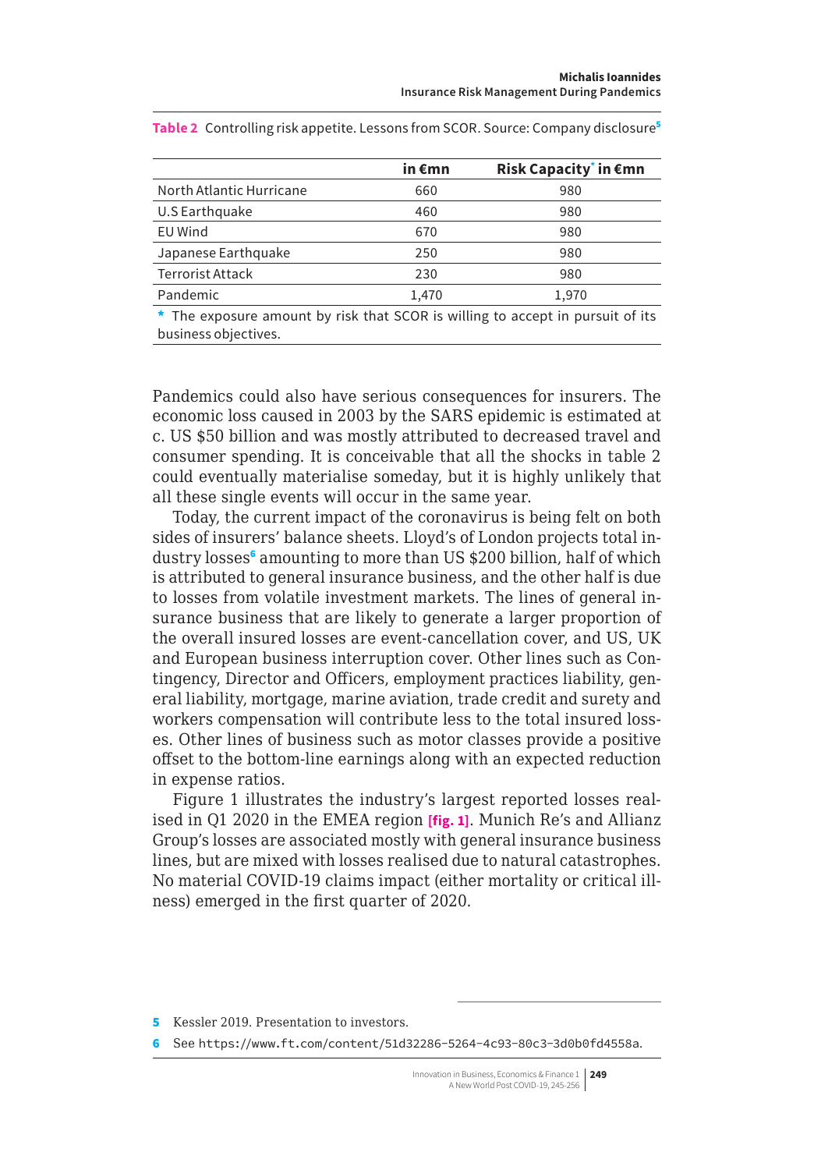|                                                                                                        | in€mn | Risk Capacity <sup>*</sup> in €mn |
|--------------------------------------------------------------------------------------------------------|-------|-----------------------------------|
| North Atlantic Hurricane                                                                               | 660   | 980                               |
| U.S Earthquake                                                                                         | 460   | 980                               |
| <b>EU Wind</b>                                                                                         | 670   | 980                               |
| Japanese Earthquake                                                                                    | 250   | 980                               |
| <b>Terrorist Attack</b>                                                                                | 230   | 980                               |
| Pandemic                                                                                               | 1,470 | 1,970                             |
| * The exposure amount by risk that SCOR is willing to accept in pursuit of its<br>business objectives. |       |                                   |

**Table 2** Controlling risk appetite. Lessons from SCOR. Source: Company disclosure<sup>5</sup>

Pandemics could also have serious consequences for insurers. The economic loss caused in 2003 by the SARS epidemic is estimated at c. US \$50 billion and was mostly attributed to decreased travel and consumer spending. It is conceivable that all the shocks in table 2 could eventually materialise someday, but it is highly unlikely that all these single events will occur in the same year.

Today, the current impact of the coronavirus is being felt on both sides of insurers' balance sheets. Lloyd's of London projects total industry losses<sup>6</sup> amounting to more than US \$200 billion, half of which is attributed to general insurance business, and the other half is due to losses from volatile investment markets. The lines of general insurance business that are likely to generate a larger proportion of the overall insured losses are event-cancellation cover, and US, UK and European business interruption cover. Other lines such as Contingency, Director and Officers, employment practices liability, general liability, mortgage, marine aviation, trade credit and surety and workers compensation will contribute less to the total insured losses. Other lines of business such as motor classes provide a positive offset to the bottom-line earnings along with an expected reduction in expense ratios.

Figure 1 illustrates the industry's largest reported losses realised in Q1 2020 in the EMEA region **[fig. 1]**. Munich Re's and Allianz Group's losses are associated mostly with general insurance business lines, but are mixed with losses realised due to natural catastrophes. No material COVID-19 claims impact (either mortality or critical illness) emerged in the first quarter of 2020.

<sup>5</sup> Kessler 2019. Presentation to investors.

<sup>6</sup> See <https://www.ft.com/content/51d32286-5264-4c93-80c3-3d0b0fd4558a>.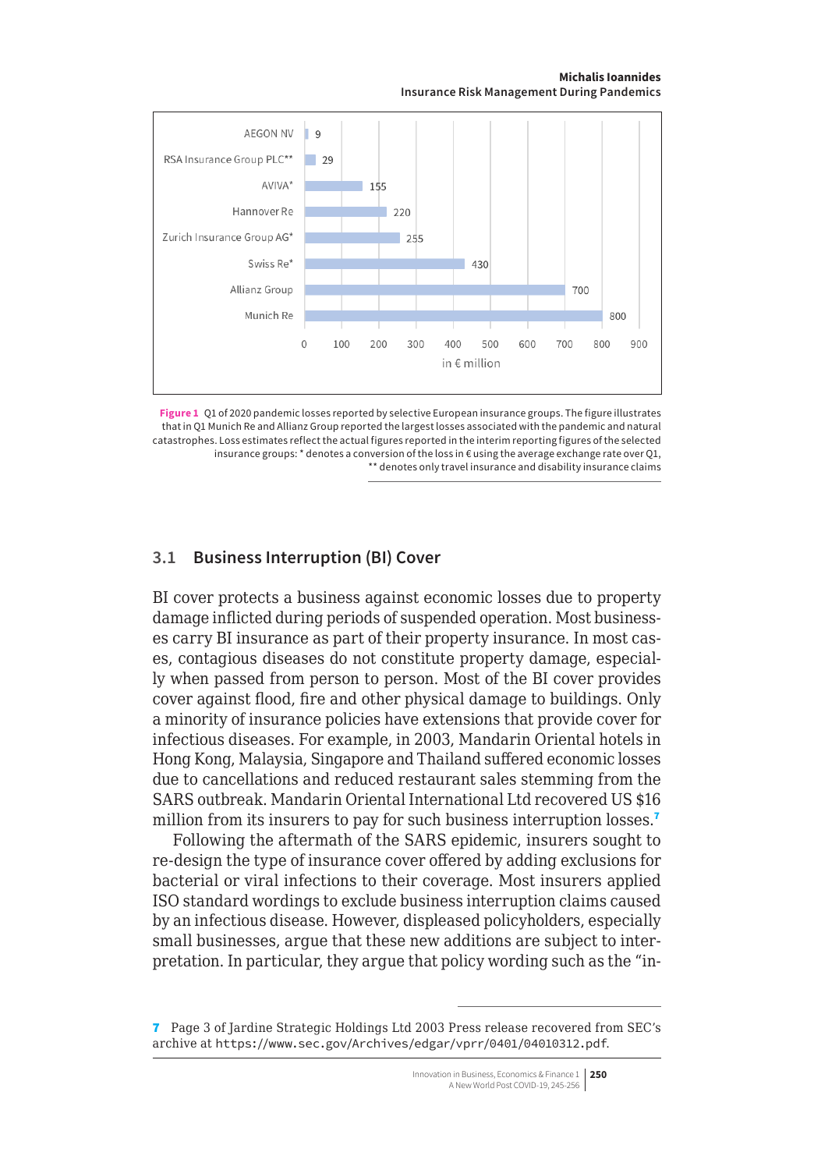**Michalis Ioannides Insurance Risk Management During Pandemics**

<span id="page-5-0"></span>

**Figure 1** Q1 of 2020 pandemic losses reported by selective European insurance groups. The figure illustrates that in Q1 Munich Re and Allianz Group reported the largest losses associated with the pandemic and natural catastrophes. Loss estimates reflect the actual figures reported in the interim reporting figures of the selected insurance groups: \* denotes a conversion of the loss in  $\epsilon$  using the average exchange rate over Q1, \*\* denotes only travel insurance and disability insurance claims

#### **3.1 Business Interruption (BI) Cover**

BI cover protects a business against economic losses due to property damage inflicted during periods of suspended operation. Most businesses carry BI insurance as part of their property insurance. In most cases, contagious diseases do not constitute property damage, especially when passed from person to person. Most of the BI cover provides cover against flood, fire and other physical damage to buildings. Only a minority of insurance policies have extensions that provide cover for infectious diseases. For example, in 2003, Mandarin Oriental hotels in Hong Kong, Malaysia, Singapore and Thailand suffered economic losses due to cancellations and reduced restaurant sales stemming from the SARS outbreak. Mandarin Oriental International Ltd recovered US \$16 million from its insurers to pay for such business interruption losses.<sup>7</sup>

Following the aftermath of the SARS epidemic, insurers sought to re-design the type of insurance cover offered by adding exclusions for bacterial or viral infections to their coverage. Most insurers applied ISO standard wordings to exclude business interruption claims caused by an infectious disease. However, displeased policyholders, especially small businesses, argue that these new additions are subject to interpretation. In particular, they argue that policy wording such as the "in-

<sup>7</sup> Page 3 of Jardine Strategic Holdings Ltd 2003 Press release recovered from SEC's archive at <https://www.sec.gov/Archives/edgar/vprr/0401/04010312.pdf>.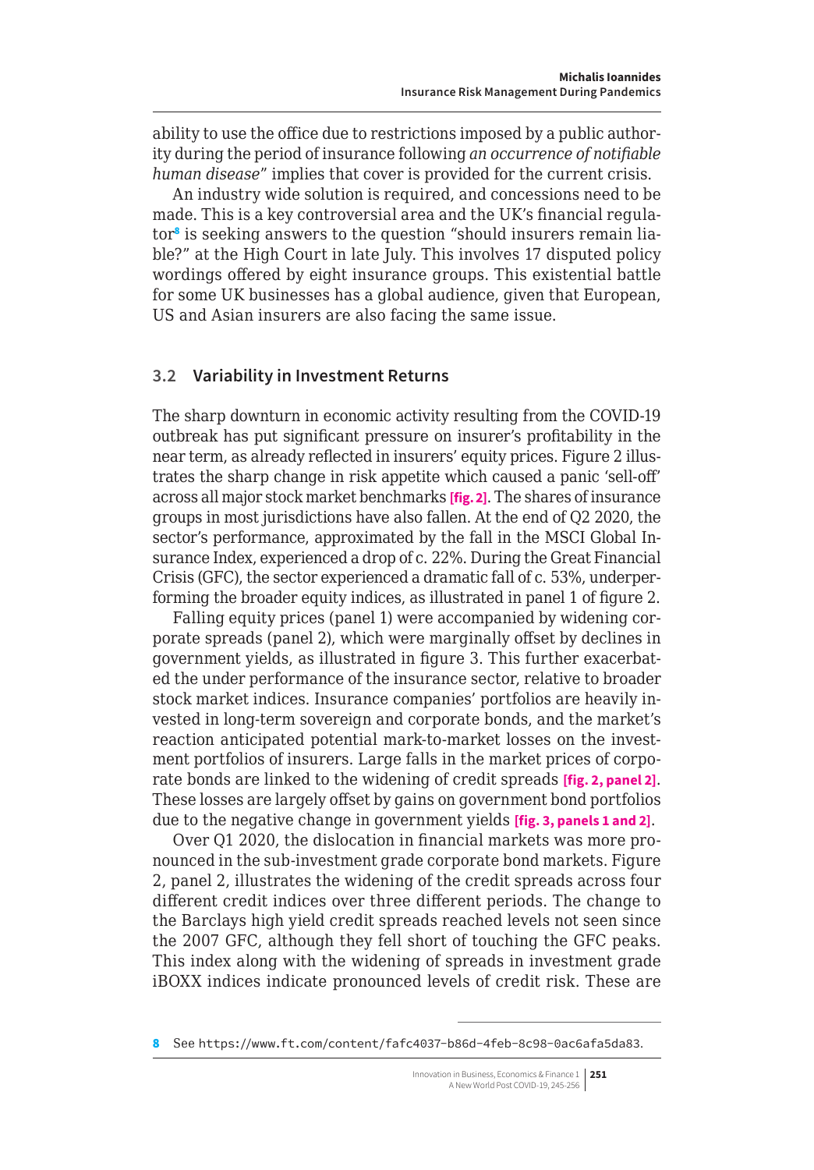<span id="page-6-0"></span>ability to use the office due to restrictions imposed by a public authority during the period of insurance following *an occurrence of notifiable human disease*" implies that cover is provided for the current crisis.

An industry wide solution is required, and concessions need to be made. This is a key controversial area and the UK's financial regulator<sup>8</sup> is seeking answers to the question "should insurers remain liable?" at the High Court in late July. This involves 17 disputed policy wordings offered by eight insurance groups. This existential battle for some UK businesses has a global audience, given that European, US and Asian insurers are also facing the same issue.

#### **3.2 Variability in Investment Returns**

The sharp downturn in economic activity resulting from the COVID-19 outbreak has put significant pressure on insurer's profitability in the near term, as already reflected in insurers' equity prices. Figure 2 illustrates the sharp change in risk appetite which caused a panic 'sell-off' across all major stock market benchmarks **[fig. 2]**. The shares of insurance groups in most jurisdictions have also fallen. At the end of Q2 2020, the sector's performance, approximated by the fall in the MSCI Global Insurance Index, experienced a drop of c. 22%. During the Great Financial Crisis (GFC), the sector experienced a dramatic fall of c. 53%, underperforming the broader equity indices, as illustrated in panel 1 of figure 2.

Falling equity prices (panel 1) were accompanied by widening corporate spreads (panel 2), which were marginally offset by declines in government yields, as illustrated in figure 3. This further exacerbated the under performance of the insurance sector, relative to broader stock market indices. Insurance companies' portfolios are heavily invested in long-term sovereign and corporate bonds, and the market's reaction anticipated potential mark-to-market losses on the investment portfolios of insurers. Large falls in the market prices of corporate bonds are linked to the widening of credit spreads **[fig. 2, panel 2]**. These losses are largely offset by gains on government bond portfolios due to the negative change in government yields **[fig. 3, panels 1 and 2]**.

Over Q1 2020, the dislocation in financial markets was more pronounced in the sub-investment grade corporate bond markets. Figure 2, panel 2, illustrates the widening of the credit spreads across four different credit indices over three different periods. The change to the Barclays high yield credit spreads reached levels not seen since the 2007 GFC, although they fell short of touching the GFC peaks. This index along with the widening of spreads in investment grade iBOXX indices indicate pronounced levels of credit risk. These are

<sup>8</sup> See <https://www.ft.com/content/fafc4037-b86d-4feb-8c98-0ac6afa5da83>.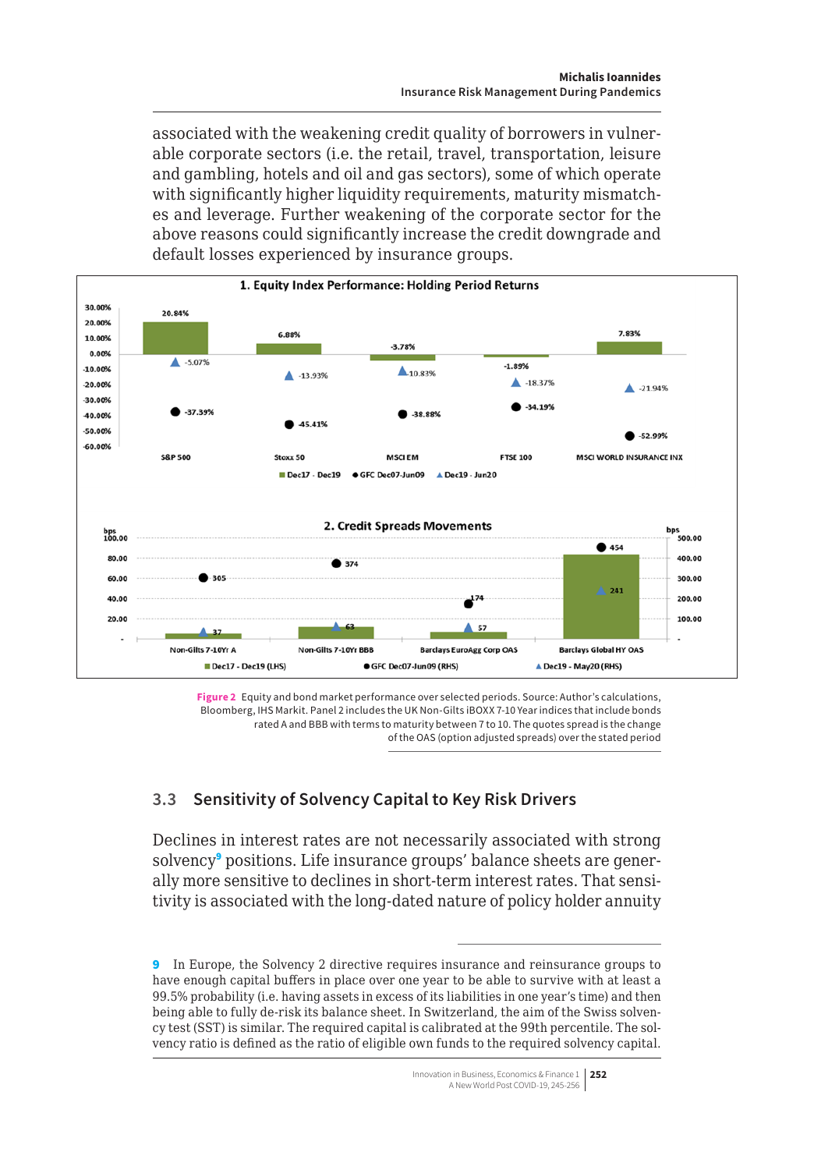associated with the weakening credit quality of borrowers in vulnerable corporate sectors (i.e. the retail, travel, transportation, leisure and gambling, hotels and oil and gas sectors), some of which operate with significantly higher liquidity requirements, maturity mismatches and leverage. Further weakening of the corporate sector for the above reasons could significantly increase the credit downgrade and default losses experienced by insurance groups.



**Figure 2** Equity and bond market performance over selected periods. Source: Author's calculations, Bloomberg, IHS Markit. Panel 2 includes the UK Non-Gilts iBOXX 7-10 Year indices that include bonds rated A and BBB with terms to maturity between 7 to 10. The quotes spread is the change of the OAS (option adjusted spreads) over the stated period

# **3.3 Sensitivity of Solvency Capital to Key Risk Drivers**

Declines in interest rates are not necessarily associated with strong solvency<sup>9</sup> positions. Life insurance groups' balance sheets are generally more sensitive to declines in short-term interest rates. That sensitivity is associated with the long-dated nature of policy holder annuity

<sup>9</sup> In Europe, the Solvency 2 directive requires insurance and reinsurance groups to have enough capital buffers in place over one year to be able to survive with at least a 99.5% probability (i.e. having assets in excess of its liabilities in one year's time) and then being able to fully de-risk its balance sheet. In Switzerland, the aim of the Swiss solvency test (SST) is similar. The required capital is calibrated at the 99th percentile. The solvency ratio is defined as the ratio of eligible own funds to the required solvency capital.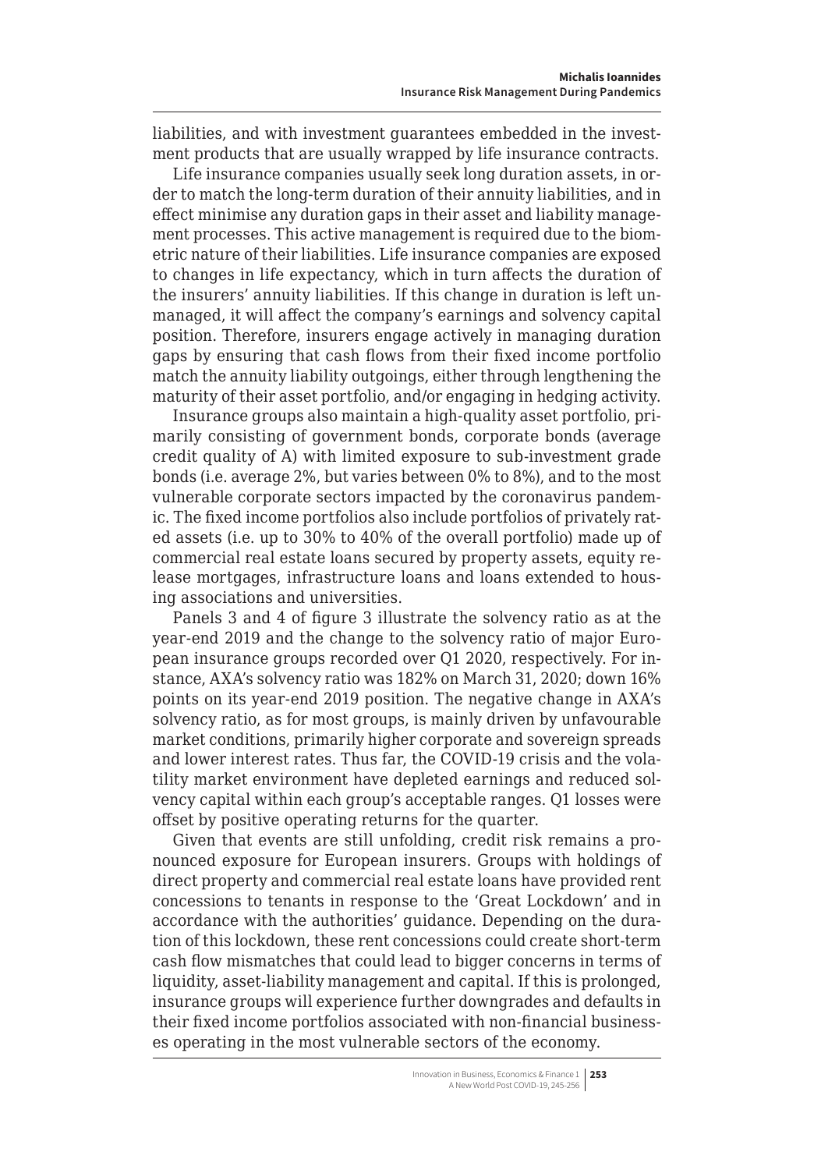<span id="page-8-0"></span>liabilities, and with investment guarantees embedded in the investment products that are usually wrapped by life insurance contracts.

Life insurance companies usually seek long duration assets, in order to match the long-term duration of their annuity liabilities, and in effect minimise any duration gaps in their asset and liability management processes. This active management is required due to the biometric nature of their liabilities. Life insurance companies are exposed to changes in life expectancy, which in turn affects the duration of the insurers' annuity liabilities. If this change in duration is left unmanaged, it will affect the company's earnings and solvency capital position. Therefore, insurers engage actively in managing duration gaps by ensuring that cash flows from their fixed income portfolio match the annuity liability outgoings, either through lengthening the maturity of their asset portfolio, and/or engaging in hedging activity.

Insurance groups also maintain a high-quality asset portfolio, primarily consisting of government bonds, corporate bonds (average credit quality of A) with limited exposure to sub-investment grade bonds (i.e. average 2%, but varies between 0% to 8%), and to the most vulnerable corporate sectors impacted by the coronavirus pandemic. The fixed income portfolios also include portfolios of privately rated assets (i.e. up to 30% to 40% of the overall portfolio) made up of commercial real estate loans secured by property assets, equity release mortgages, infrastructure loans and loans extended to housing associations and universities.

Panels 3 and 4 of figure 3 illustrate the solvency ratio as at the year-end 2019 and the change to the solvency ratio of major European insurance groups recorded over Q1 2020, respectively. For instance, AXA's solvency ratio was 182% on March 31, 2020; down 16% points on its year-end 2019 position. The negative change in AXA's solvency ratio, as for most groups, is mainly driven by unfavourable market conditions, primarily higher corporate and sovereign spreads and lower interest rates. Thus far, the COVID-19 crisis and the volatility market environment have depleted earnings and reduced solvency capital within each group's acceptable ranges. Q1 losses were offset by positive operating returns for the quarter.

Given that events are still unfolding, credit risk remains a pronounced exposure for European insurers. Groups with holdings of direct property and commercial real estate loans have provided rent concessions to tenants in response to the 'Great Lockdown' and in accordance with the authorities' guidance. Depending on the duration of this lockdown, these rent concessions could create short-term cash flow mismatches that could lead to bigger concerns in terms of liquidity, asset-liability management and capital. If this is prolonged, insurance groups will experience further downgrades and defaults in their fixed income portfolios associated with non-financial businesses operating in the most vulnerable sectors of the economy.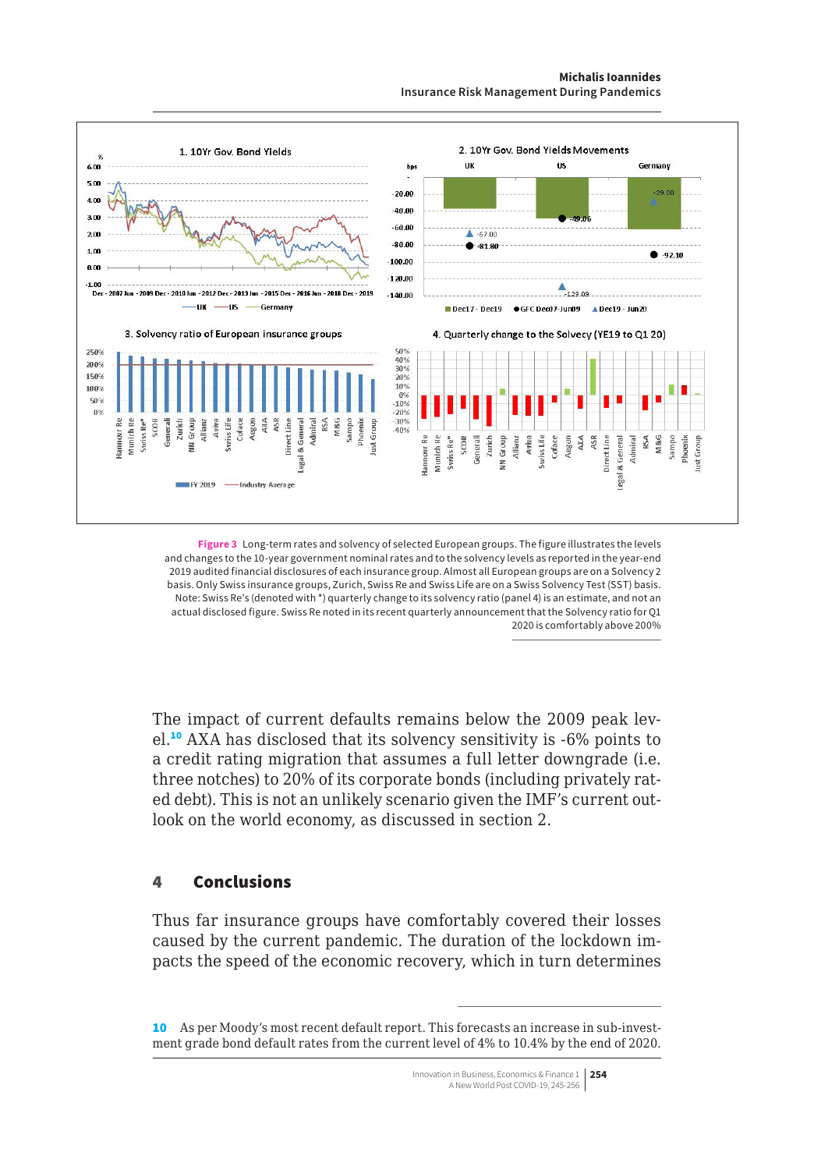#### **Michalis Ioannides**

**Insurance Risk Management During Pandemics**



**Figure 3** Long-term rates and solvency of selected European groups. The figure illustrates the levels and changes to the 10-year government nominal rates and to the solvency levels as reported in the year-end 2019 audited financial disclosures of each insurance group. Almost all European groups are on a Solvency 2 basis. Only Swiss insurance groups, Zurich, Swiss Re and Swiss Life are on a Swiss Solvency Test (SST) basis. Note: Swiss Re's (denoted with \*) quarterly change to its solvency ratio (panel 4) is an estimate, and not an actual disclosed figure. Swiss Re noted in its recent quarterly announcement that the Solvency ratio for Q1 2020 is comfortably above 200%

The impact of current defaults remains below the 2009 peak level.<sup>10</sup> AXA has disclosed that its solvency sensitivity is -6% points to a credit rating migration that assumes a full letter downgrade (i.e. three notches) to 20% of its corporate bonds (including privately rated debt). This is not an unlikely scenario given the IMF's current outlook on the world economy, as discussed in section 2.

#### 4 Conclusions

Thus far insurance groups have comfortably covered their losses caused by the current pandemic. The duration of the lockdown impacts the speed of the economic recovery, which in turn determines

<sup>10</sup> As per Moody's most recent default report. This forecasts an increase in sub-investment grade bond default rates from the current level of 4% to 10.4% by the end of 2020.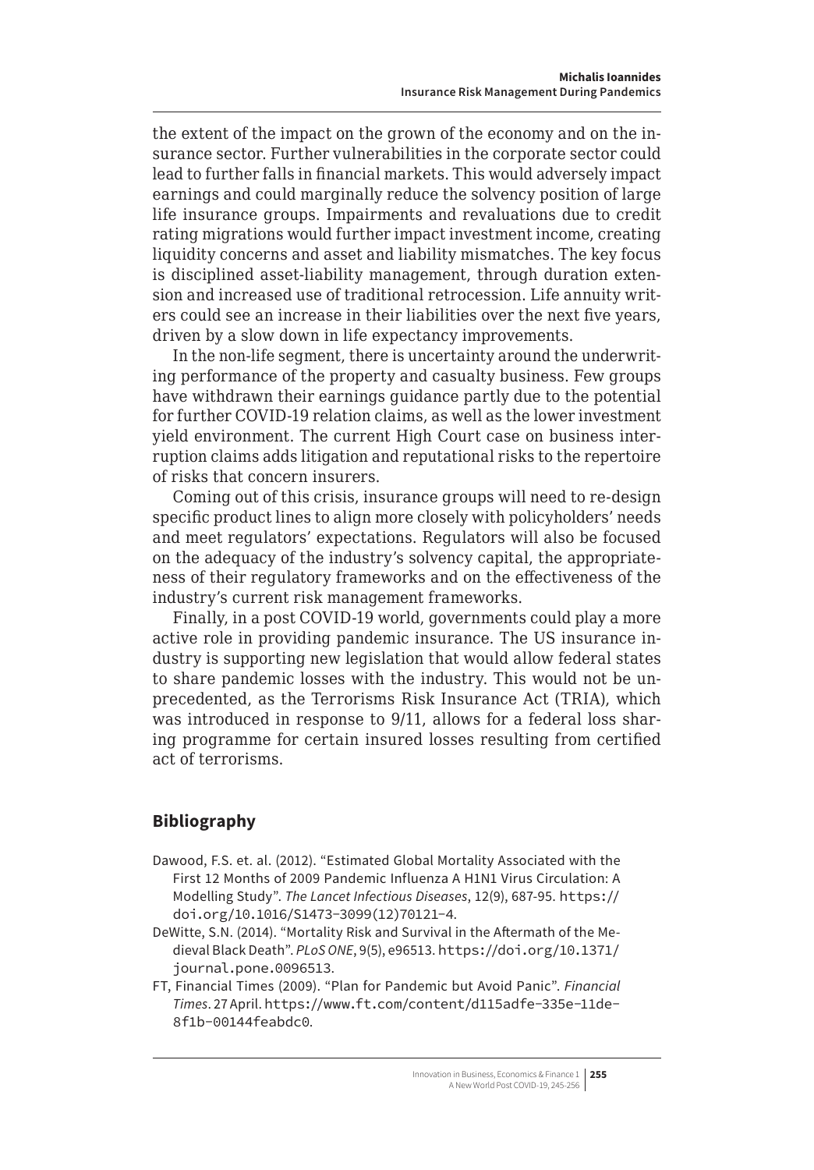<span id="page-10-0"></span>the extent of the impact on the grown of the economy and on the insurance sector. Further vulnerabilities in the corporate sector could lead to further falls in financial markets. This would adversely impact earnings and could marginally reduce the solvency position of large life insurance groups. Impairments and revaluations due to credit rating migrations would further impact investment income, creating liquidity concerns and asset and liability mismatches. The key focus is disciplined asset-liability management, through duration extension and increased use of traditional retrocession. Life annuity writers could see an increase in their liabilities over the next five years, driven by a slow down in life expectancy improvements.

In the non-life segment, there is uncertainty around the underwriting performance of the property and casualty business. Few groups have withdrawn their earnings guidance partly due to the potential for further COVID-19 relation claims, as well as the lower investment yield environment. The current High Court case on business interruption claims adds litigation and reputational risks to the repertoire of risks that concern insurers.

Coming out of this crisis, insurance groups will need to re-design specific product lines to align more closely with policyholders' needs and meet regulators' expectations. Regulators will also be focused on the adequacy of the industry's solvency capital, the appropriateness of their regulatory frameworks and on the effectiveness of the industry's current risk management frameworks.

Finally, in a post COVID-19 world, governments could play a more active role in providing pandemic insurance. The US insurance industry is supporting new legislation that would allow federal states to share pandemic losses with the industry. This would not be unprecedented, as the Terrorisms Risk Insurance Act (TRIA), which was introduced in response to 9/11, allows for a federal loss sharing programme for certain insured losses resulting from certified act of terrorisms.

# **Bibliography**

- Dawood, F.S. et. al. (2012). "Estimated Global Mortality Associated with the First 12 Months of 2009 Pandemic Influenza A H1N1 Virus Circulation: A Modelling Study". *The Lancet Infectious Diseases*, 12(9), 687-95. [https://](https://doi.org/10.1016/S1473-3099(12)70121-4) [doi.org/10.1016/S1473-3099\(12\)70121-4](https://doi.org/10.1016/S1473-3099(12)70121-4).
- DeWitte, S.N. (2014). "Mortality Risk and Survival in the Aftermath of the Medieval Black Death". *PLoS ONE*, 9(5), e96513. [https://doi.org/10.1371/](https://doi.org/10.1371/journal.pone.0096513) [journal.pone.0096513](https://doi.org/10.1371/journal.pone.0096513).
- FT, Financial Times (2009). "Plan for Pandemic but Avoid Panic". *Financial Times*. 27 April. [https://www.ft.com/content/d115adfe-335e-11de-](https://www.ft.com/content/d115adfe-335e-11de-8f1b-00144feabdc0)[8f1b-00144feabdc0](https://www.ft.com/content/d115adfe-335e-11de-8f1b-00144feabdc0).